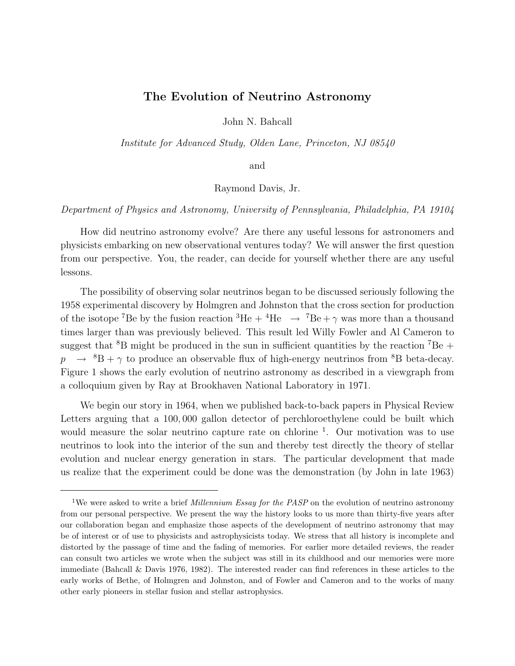## **The Evolution of Neutrino Astronomy**

John N. Bahcall

Institute for Advanced Study, Olden Lane, Princeton, NJ 08540

and

Raymond Davis, Jr.

Department of Physics and Astronomy, University of Pennsylvania, Philadelphia, PA 19104

How did neutrino astronomy evolve? Are there any useful lessons for astronomers and physicists embarking on new observational ventures today? We will answer the first question from our perspective. You, the reader, can decide for yourself whether there are any useful lessons.

The possibility of observing solar neutrinos began to be discussed seriously following the 1958 experimental discovery by Holmgren and Johnston that the cross section for production of the isotope <sup>7</sup>Be by the fusion reaction <sup>3</sup>He + <sup>4</sup>He  $\rightarrow$  <sup>7</sup>Be +  $\gamma$  was more than a thousand times larger than was previously believed. This result led Willy Fowler and Al Cameron to suggest that <sup>8</sup>B might be produced in the sun in sufficient quantities by the reaction <sup>7</sup>Be +  $p \rightarrow {^{8}B} + \gamma$  to produce an observable flux of high-energy neutrinos from <sup>8</sup>B beta-decay. Figure 1 shows the early evolution of neutrino astronomy as described in a viewgraph from a colloquium given by Ray at Brookhaven National Laboratory in 1971.

We begin our story in 1964, when we published back-to-back papers in Physical Review Letters arguing that a 100, 000 gallon detector of perchloroethylene could be built which would measure the solar neutrino capture rate on chlorine  $\frac{1}{1}$ . Our motivation was to use neutrinos to look into the interior of the sun and thereby test directly the theory of stellar evolution and nuclear energy generation in stars. The particular development that made us realize that the experiment could be done was the demonstration (by John in late 1963)

<sup>&</sup>lt;sup>1</sup>We were asked to write a brief *Millennium Essay for the PASP* on the evolution of neutrino astronomy from our personal perspective. We present the way the history looks to us more than thirty-five years after our collaboration began and emphasize those aspects of the development of neutrino astronomy that may be of interest or of use to physicists and astrophysicists today. We stress that all history is incomplete and distorted by the passage of time and the fading of memories. For earlier more detailed reviews, the reader can consult two articles we wrote when the subject was still in its childhood and our memories were more immediate (Bahcall & Davis 1976, 1982). The interested reader can find references in these articles to the early works of Bethe, of Holmgren and Johnston, and of Fowler and Cameron and to the works of many other early pioneers in stellar fusion and stellar astrophysics.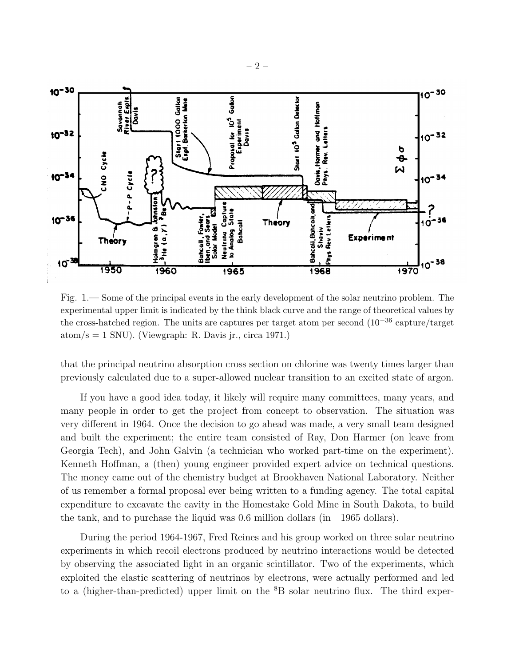

Fig. 1.— Some of the principal events in the early development of the solar neutrino problem. The experimental upper limit is indicated by the think black curve and the range of theoretical values by the cross-hatched region. The units are captures per target atom per second (10−<sup>36</sup> capture/target atom/s  $= 1$  SNU). (Viewgraph: R. Davis jr., circa 1971.)

that the principal neutrino absorption cross section on chlorine was twenty times larger than previously calculated due to a super-allowed nuclear transition to an excited state of argon.

If you have a good idea today, it likely will require many committees, many years, and many people in order to get the project from concept to observation. The situation was very different in 1964. Once the decision to go ahead was made, a very small team designed and built the experiment; the entire team consisted of Ray, Don Harmer (on leave from Georgia Tech), and John Galvin (a technician who worked part-time on the experiment). Kenneth Hoffman, a (then) young engineer provided expert advice on technical questions. The money came out of the chemistry budget at Brookhaven National Laboratory. Neither of us remember a formal proposal ever being written to a funding agency. The total capital expenditure to excavate the cavity in the Homestake Gold Mine in South Dakota, to build the tank, and to purchase the liquid was 0.6 million dollars (in 1965 dollars).

During the period 1964-1967, Fred Reines and his group worked on three solar neutrino experiments in which recoil electrons produced by neutrino interactions would be detected by observing the associated light in an organic scintillator. Two of the experiments, which exploited the elastic scattering of neutrinos by electrons, were actually performed and led to a (higher-than-predicted) upper limit on the  ${}^{8}B$  solar neutrino flux. The third exper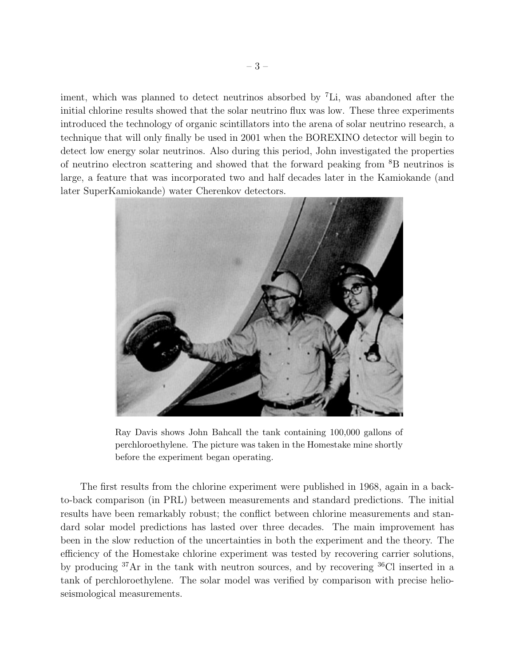iment, which was planned to detect neutrinos absorbed by <sup>7</sup>Li, was abandoned after the initial chlorine results showed that the solar neutrino flux was low. These three experiments introduced the technology of organic scintillators into the arena of solar neutrino research, a technique that will only finally be used in 2001 when the BOREXINO detector will begin to detect low energy solar neutrinos. Also during this period, John investigated the properties of neutrino electron scattering and showed that the forward peaking from <sup>8</sup>B neutrinos is large, a feature that was incorporated two and half decades later in the Kamiokande (and later SuperKamiokande) water Cherenkov detectors.



Ray Davis shows John Bahcall the tank containing 100,000 gallons of perchloroethylene. The picture was taken in the Homestake mine shortly before the experiment began operating.

The first results from the chlorine experiment were published in 1968, again in a backto-back comparison (in PRL) between measurements and standard predictions. The initial results have been remarkably robust; the conflict between chlorine measurements and standard solar model predictions has lasted over three decades. The main improvement has been in the slow reduction of the uncertainties in both the experiment and the theory. The efficiency of the Homestake chlorine experiment was tested by recovering carrier solutions, by producing <sup>37</sup>Ar in the tank with neutron sources, and by recovering <sup>36</sup>Cl inserted in a tank of perchloroethylene. The solar model was verified by comparison with precise helioseismological measurements.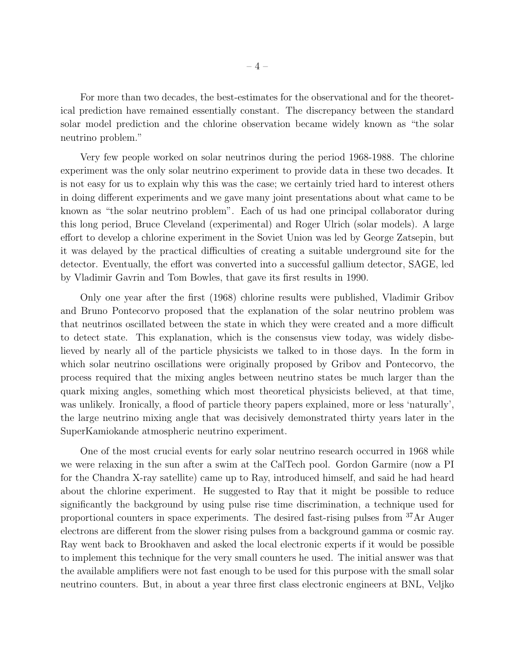For more than two decades, the best-estimates for the observational and for the theoretical prediction have remained essentially constant. The discrepancy between the standard solar model prediction and the chlorine observation became widely known as "the solar neutrino problem."

Very few people worked on solar neutrinos during the period 1968-1988. The chlorine experiment was the only solar neutrino experiment to provide data in these two decades. It is not easy for us to explain why this was the case; we certainly tried hard to interest others in doing different experiments and we gave many joint presentations about what came to be known as "the solar neutrino problem". Each of us had one principal collaborator during this long period, Bruce Cleveland (experimental) and Roger Ulrich (solar models). A large effort to develop a chlorine experiment in the Soviet Union was led by George Zatsepin, but it was delayed by the practical difficulties of creating a suitable underground site for the detector. Eventually, the effort was converted into a successful gallium detector, SAGE, led by Vladimir Gavrin and Tom Bowles, that gave its first results in 1990.

Only one year after the first (1968) chlorine results were published, Vladimir Gribov and Bruno Pontecorvo proposed that the explanation of the solar neutrino problem was that neutrinos oscillated between the state in which they were created and a more difficult to detect state. This explanation, which is the consensus view today, was widely disbelieved by nearly all of the particle physicists we talked to in those days. In the form in which solar neutrino oscillations were originally proposed by Gribov and Pontecorvo, the process required that the mixing angles between neutrino states be much larger than the quark mixing angles, something which most theoretical physicists believed, at that time, was unlikely. Ironically, a flood of particle theory papers explained, more or less 'naturally', the large neutrino mixing angle that was decisively demonstrated thirty years later in the SuperKamiokande atmospheric neutrino experiment.

One of the most crucial events for early solar neutrino research occurred in 1968 while we were relaxing in the sun after a swim at the CalTech pool. Gordon Garmire (now a PI for the Chandra X-ray satellite) came up to Ray, introduced himself, and said he had heard about the chlorine experiment. He suggested to Ray that it might be possible to reduce significantly the background by using pulse rise time discrimination, a technique used for proportional counters in space experiments. The desired fast-rising pulses from <sup>37</sup>Ar Auger electrons are different from the slower rising pulses from a background gamma or cosmic ray. Ray went back to Brookhaven and asked the local electronic experts if it would be possible to implement this technique for the very small counters he used. The initial answer was that the available amplifiers were not fast enough to be used for this purpose with the small solar neutrino counters. But, in about a year three first class electronic engineers at BNL, Veljko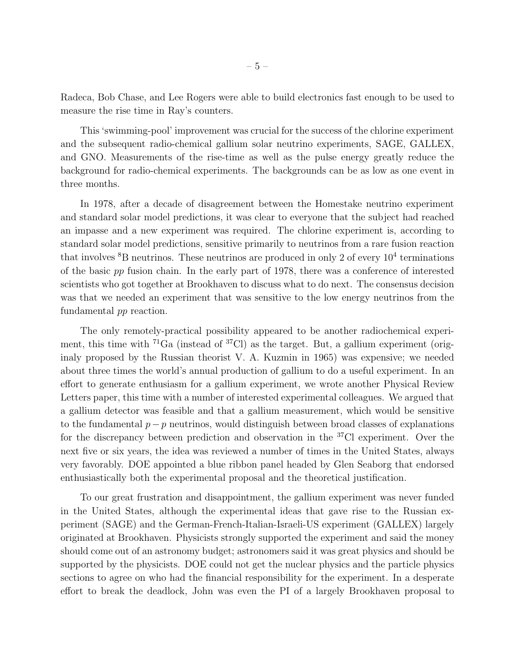Radeca, Bob Chase, and Lee Rogers were able to build electronics fast enough to be used to measure the rise time in Ray's counters.

This 'swimming-pool' improvement was crucial for the success of the chlorine experiment and the subsequent radio-chemical gallium solar neutrino experiments, SAGE, GALLEX, and GNO. Measurements of the rise-time as well as the pulse energy greatly reduce the background for radio-chemical experiments. The backgrounds can be as low as one event in three months.

In 1978, after a decade of disagreement between the Homestake neutrino experiment and standard solar model predictions, it was clear to everyone that the subject had reached an impasse and a new experiment was required. The chlorine experiment is, according to standard solar model predictions, sensitive primarily to neutrinos from a rare fusion reaction that involves  ${}^{8}B$  neutrinos. These neutrinos are produced in only 2 of every  $10^{4}$  terminations of the basic pp fusion chain. In the early part of 1978, there was a conference of interested scientists who got together at Brookhaven to discuss what to do next. The consensus decision was that we needed an experiment that was sensitive to the low energy neutrinos from the fundamental pp reaction.

The only remotely-practical possibility appeared to be another radiochemical experiment, this time with  ${}^{71}Ga$  (instead of  ${}^{37}Cl$ ) as the target. But, a gallium experiment (originaly proposed by the Russian theorist V. A. Kuzmin in 1965) was expensive; we needed about three times the world's annual production of gallium to do a useful experiment. In an effort to generate enthusiasm for a gallium experiment, we wrote another Physical Review Letters paper, this time with a number of interested experimental colleagues. We argued that a gallium detector was feasible and that a gallium measurement, which would be sensitive to the fundamental  $p - p$  neutrinos, would distinguish between broad classes of explanations for the discrepancy between prediction and observation in the <sup>37</sup>Cl experiment. Over the next five or six years, the idea was reviewed a number of times in the United States, always very favorably. DOE appointed a blue ribbon panel headed by Glen Seaborg that endorsed enthusiastically both the experimental proposal and the theoretical justification.

To our great frustration and disappointment, the gallium experiment was never funded in the United States, although the experimental ideas that gave rise to the Russian experiment (SAGE) and the German-French-Italian-Israeli-US experiment (GALLEX) largely originated at Brookhaven. Physicists strongly supported the experiment and said the money should come out of an astronomy budget; astronomers said it was great physics and should be supported by the physicists. DOE could not get the nuclear physics and the particle physics sections to agree on who had the financial responsibility for the experiment. In a desperate effort to break the deadlock, John was even the PI of a largely Brookhaven proposal to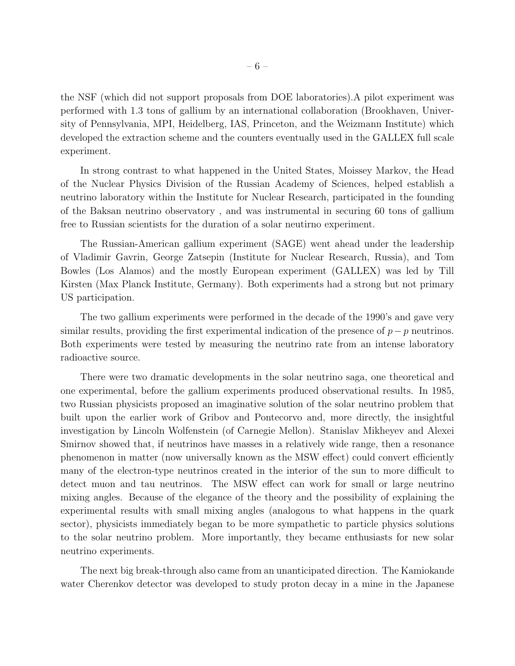the NSF (which did not support proposals from DOE laboratories).A pilot experiment was performed with 1.3 tons of gallium by an international collaboration (Brookhaven, University of Pennsylvania, MPI, Heidelberg, IAS, Princeton, and the Weizmann Institute) which developed the extraction scheme and the counters eventually used in the GALLEX full scale experiment.

In strong contrast to what happened in the United States, Moissey Markov, the Head of the Nuclear Physics Division of the Russian Academy of Sciences, helped establish a neutrino laboratory within the Institute for Nuclear Research, participated in the founding of the Baksan neutrino observatory , and was instrumental in securing 60 tons of gallium free to Russian scientists for the duration of a solar neutirno experiment.

The Russian-American gallium experiment (SAGE) went ahead under the leadership of Vladimir Gavrin, George Zatsepin (Institute for Nuclear Research, Russia), and Tom Bowles (Los Alamos) and the mostly European experiment (GALLEX) was led by Till Kirsten (Max Planck Institute, Germany). Both experiments had a strong but not primary US participation.

The two gallium experiments were performed in the decade of the 1990's and gave very similar results, providing the first experimental indication of the presence of  $p-p$  neutrinos. Both experiments were tested by measuring the neutrino rate from an intense laboratory radioactive source.

There were two dramatic developments in the solar neutrino saga, one theoretical and one experimental, before the gallium experiments produced observational results. In 1985, two Russian physicists proposed an imaginative solution of the solar neutrino problem that built upon the earlier work of Gribov and Pontecorvo and, more directly, the insightful investigation by Lincoln Wolfenstein (of Carnegie Mellon). Stanislav Mikheyev and Alexei Smirnov showed that, if neutrinos have masses in a relatively wide range, then a resonance phenomenon in matter (now universally known as the MSW effect) could convert efficiently many of the electron-type neutrinos created in the interior of the sun to more difficult to detect muon and tau neutrinos. The MSW effect can work for small or large neutrino mixing angles. Because of the elegance of the theory and the possibility of explaining the experimental results with small mixing angles (analogous to what happens in the quark sector), physicists immediately began to be more sympathetic to particle physics solutions to the solar neutrino problem. More importantly, they became enthusiasts for new solar neutrino experiments.

The next big break-through also came from an unanticipated direction. The Kamiokande water Cherenkov detector was developed to study proton decay in a mine in the Japanese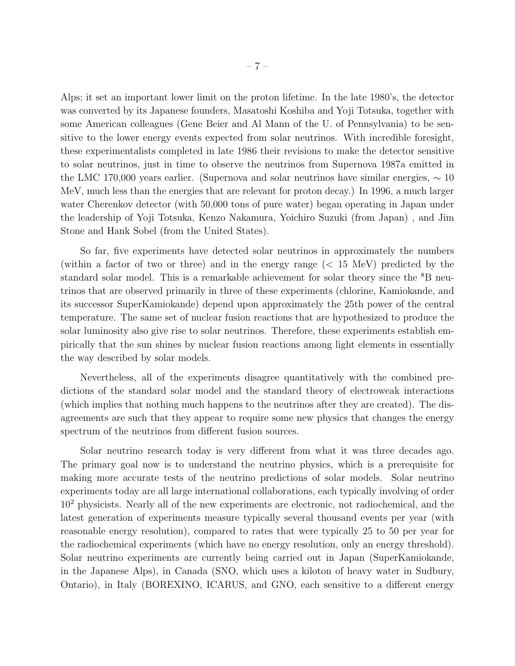Alps; it set an important lower limit on the proton lifetime. In the late 1980's, the detector was converted by its Japanese founders, Masatoshi Koshiba and Yoji Totsuka, together with some American colleagues (Gene Beier and Al Mann of the U. of Pennsylvania) to be sensitive to the lower energy events expected from solar neutrinos. With incredible foresight, these experimentalists completed in late 1986 their revisions to make the detector sensitive to solar neutrinos, just in time to observe the neutrinos from Supernova 1987a emitted in the LMC 170,000 years earlier. (Supernova and solar neutrinos have similar energies,  $\sim 10$ MeV, much less than the energies that are relevant for proton decay.) In 1996, a much larger water Cherenkov detector (with 50,000 tons of pure water) began operating in Japan under the leadership of Yoji Totsuka, Kenzo Nakamura, Yoichiro Suzuki (from Japan) , and Jim Stone and Hank Sobel (from the United States).

So far, five experiments have detected solar neutrinos in approximately the numbers (within a factor of two or three) and in the energy range (< 15 MeV) predicted by the standard solar model. This is a remarkable achievement for solar theory since the <sup>8</sup>B neutrinos that are observed primarily in three of these experiments (chlorine, Kamiokande, and its successor SuperKamiokande) depend upon approximately the 25th power of the central temperature. The same set of nuclear fusion reactions that are hypothesized to produce the solar luminosity also give rise to solar neutrinos. Therefore, these experiments establish empirically that the sun shines by nuclear fusion reactions among light elements in essentially the way described by solar models.

Nevertheless, all of the experiments disagree quantitatively with the combined predictions of the standard solar model and the standard theory of electroweak interactions (which implies that nothing much happens to the neutrinos after they are created). The disagreements are such that they appear to require some new physics that changes the energy spectrum of the neutrinos from different fusion sources.

Solar neutrino research today is very different from what it was three decades ago. The primary goal now is to understand the neutrino physics, which is a prerequisite for making more accurate tests of the neutrino predictions of solar models. Solar neutrino experiments today are all large international collaborations, each typically involving of order 10<sup>2</sup> physicists. Nearly all of the new experiments are electronic, not radiochemical, and the latest generation of experiments measure typically several thousand events per year (with reasonable energy resolution), compared to rates that were typically 25 to 50 per year for the radiochemical experiments (which have no energy resolution, only an energy threshold). Solar neutrino experiments are currently being carried out in Japan (SuperKamiokande, in the Japanese Alps), in Canada (SNO, which uses a kiloton of heavy water in Sudbury, Ontario), in Italy (BOREXINO, ICARUS, and GNO, each sensitive to a different energy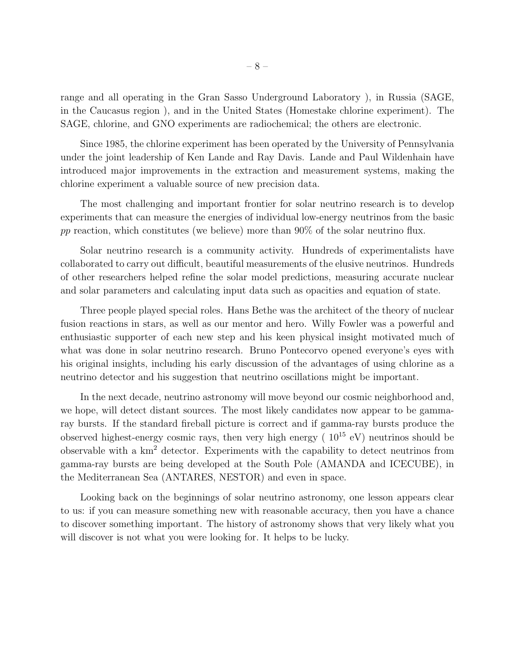range and all operating in the Gran Sasso Underground Laboratory ), in Russia (SAGE, in the Caucasus region ), and in the United States (Homestake chlorine experiment). The SAGE, chlorine, and GNO experiments are radiochemical; the others are electronic.

Since 1985, the chlorine experiment has been operated by the University of Pennsylvania under the joint leadership of Ken Lande and Ray Davis. Lande and Paul Wildenhain have introduced major improvements in the extraction and measurement systems, making the chlorine experiment a valuable source of new precision data.

The most challenging and important frontier for solar neutrino research is to develop experiments that can measure the energies of individual low-energy neutrinos from the basic pp reaction, which constitutes (we believe) more than  $90\%$  of the solar neutrino flux.

Solar neutrino research is a community activity. Hundreds of experimentalists have collaborated to carry out difficult, beautiful measurements of the elusive neutrinos. Hundreds of other researchers helped refine the solar model predictions, measuring accurate nuclear and solar parameters and calculating input data such as opacities and equation of state.

Three people played special roles. Hans Bethe was the architect of the theory of nuclear fusion reactions in stars, as well as our mentor and hero. Willy Fowler was a powerful and enthusiastic supporter of each new step and his keen physical insight motivated much of what was done in solar neutrino research. Bruno Pontecorvo opened everyone's eyes with his original insights, including his early discussion of the advantages of using chlorine as a neutrino detector and his suggestion that neutrino oscillations might be important.

In the next decade, neutrino astronomy will move beyond our cosmic neighborhood and, we hope, will detect distant sources. The most likely candidates now appear to be gammaray bursts. If the standard fireball picture is correct and if gamma-ray bursts produce the observed highest-energy cosmic rays, then very high energy ( $10^{15}$  eV) neutrinos should be observable with a km<sup>2</sup> detector. Experiments with the capability to detect neutrinos from gamma-ray bursts are being developed at the South Pole (AMANDA and ICECUBE), in the Mediterranean Sea (ANTARES, NESTOR) and even in space.

Looking back on the beginnings of solar neutrino astronomy, one lesson appears clear to us: if you can measure something new with reasonable accuracy, then you have a chance to discover something important. The history of astronomy shows that very likely what you will discover is not what you were looking for. It helps to be lucky.